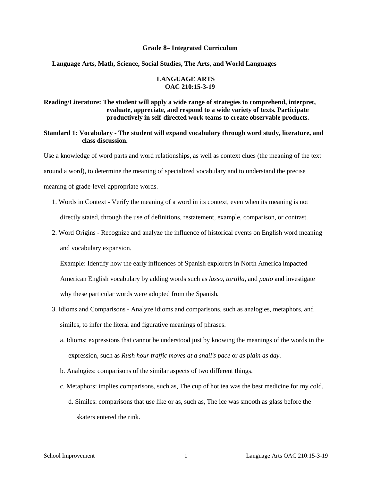#### **Grade 8– Integrated Curriculum**

#### **Language Arts, Math, Science, Social Studies, The Arts, and World Languages**

#### **LANGUAGE ARTS OAC 210:15-3-19**

#### **Reading/Literature: The student will apply a wide range of strategies to comprehend, interpret, evaluate, appreciate, and respond to a wide variety of texts. Participate productively in self-directed work teams to create observable products.**

**Standard 1: Vocabulary - The student will expand vocabulary through word study, literature, and class discussion.** 

Use a knowledge of word parts and word relationships, as well as context clues (the meaning of the text around a word), to determine the meaning of specialized vocabulary and to understand the precise meaning of grade-level-appropriate words.

- 1. Words in Context Verify the meaning of a word in its context, even when its meaning is not directly stated, through the use of definitions, restatement, example, comparison, or contrast.
- 2. Word Origins Recognize and analyze the influence of historical events on English word meaning and vocabulary expansion.

Example: Identify how the early influences of Spanish explorers in North America impacted American English vocabulary by adding words such as *lasso, tortilla,* and *patio* and investigate why these particular words were adopted from the Spanish*.* 

- 3. Idioms and Comparisons Analyze idioms and comparisons, such as analogies, metaphors, and similes, to infer the literal and figurative meanings of phrases.
	- a. Idioms: expressions that cannot be understood just by knowing the meanings of the words in the expression, such as *Rush hour traffic moves at a snail's pace* or *as plain as day.*
	- b. Analogies: comparisons of the similar aspects of two different things.
	- c. Metaphors: implies comparisons, such as, The cup of hot tea was the best medicine for my cold. d. Similes: comparisons that use like or as, such as, The ice was smooth as glass before the skaters entered the rink.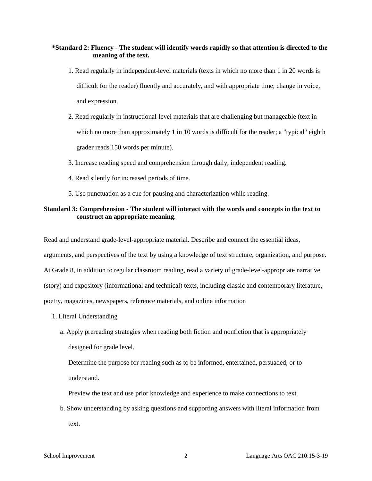#### **\*Standard 2: Fluency - The student will identify words rapidly so that attention is directed to the meaning of the text.**

- 1. Read regularly in independent-level materials (texts in which no more than 1 in 20 words is difficult for the reader) fluently and accurately, and with appropriate time, change in voice, and expression.
- 2. Read regularly in instructional-level materials that are challenging but manageable (text in which no more than approximately 1 in 10 words is difficult for the reader; a "typical" eighth grader reads 150 words per minute).
- 3. Increase reading speed and comprehension through daily, independent reading.
- 4. Read silently for increased periods of time.
- 5. Use punctuation as a cue for pausing and characterization while reading.

#### **Standard 3: Comprehension - The student will interact with the words and concepts in the text to construct an appropriate meaning**.

Read and understand grade-level-appropriate material. Describe and connect the essential ideas, arguments, and perspectives of the text by using a knowledge of text structure, organization, and purpose. At Grade 8, in addition to regular classroom reading, read a variety of grade-level-appropriate narrative (story) and expository (informational and technical) texts, including classic and contemporary literature, poetry, magazines, newspapers, reference materials, and online information

- 1. Literal Understanding
	- a. Apply prereading strategies when reading both fiction and nonfiction that is appropriately designed for grade level.

Determine the purpose for reading such as to be informed, entertained, persuaded, or to understand.

Preview the text and use prior knowledge and experience to make connections to text.

b. Show understanding by asking questions and supporting answers with literal information from text.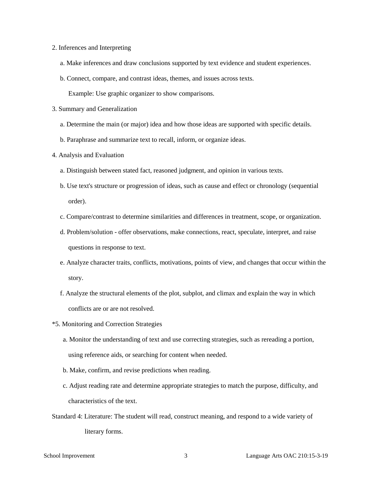- 2. Inferences and Interpreting
	- a. Make inferences and draw conclusions supported by text evidence and student experiences.
	- b. Connect, compare, and contrast ideas, themes, and issues across texts.

Example: Use graphic organizer to show comparisons.

- 3. Summary and Generalization
	- a. Determine the main (or major) idea and how those ideas are supported with specific details.
	- b. Paraphrase and summarize text to recall, inform, or organize ideas.
- 4. Analysis and Evaluation
	- a. Distinguish between stated fact, reasoned judgment, and opinion in various texts.
	- b. Use text's structure or progression of ideas, such as cause and effect or chronology (sequential order).
	- c. Compare/contrast to determine similarities and differences in treatment, scope, or organization.
	- d. Problem/solution offer observations, make connections, react, speculate, interpret, and raise questions in response to text.
	- e. Analyze character traits, conflicts, motivations, points of view, and changes that occur within the story.
	- f. Analyze the structural elements of the plot, subplot, and climax and explain the way in which conflicts are or are not resolved.
- \*5. Monitoring and Correction Strategies
	- a. Monitor the understanding of text and use correcting strategies, such as rereading a portion, using reference aids, or searching for content when needed.
	- b. Make, confirm, and revise predictions when reading.
	- c. Adjust reading rate and determine appropriate strategies to match the purpose, difficulty, and characteristics of the text.
- Standard 4: Literature: The student will read, construct meaning, and respond to a wide variety of literary forms.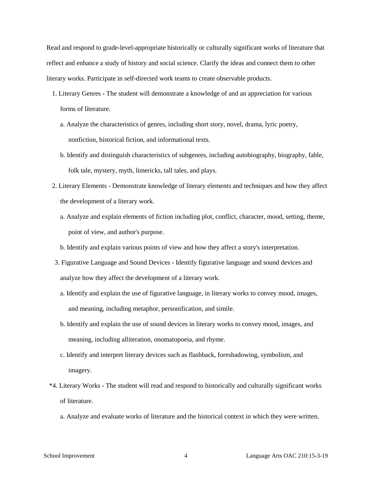Read and respond to grade-level-appropriate historically or culturally significant works of literature that reflect and enhance a study of history and social science. Clarify the ideas and connect them to other literary works. Participate in self-directed work teams to create observable products.

- 1. Literary Genres The student will demonstrate a knowledge of and an appreciation for various forms of literature.
	- a. Analyze the characteristics of genres, including short story, novel, drama, lyric poetry, nonfiction, historical fiction, and informational texts.
	- b. Identify and distinguish characteristics of subgenres, including autobiography, biography, fable, folk tale, mystery, myth, limericks, tall tales, and plays.
- 2. Literary Elements Demonstrate knowledge of literary elements and techniques and how they affect the development of a literary work.
	- a. Analyze and explain elements of fiction including plot, conflict, character, mood, setting, theme, point of view, and author's purpose.
	- b. Identify and explain various points of view and how they affect a story's interpretation.
- 3. Figurative Language and Sound Devices Identify figurative language and sound devices and analyze how they affect the development of a literary work.
	- a. Identify and explain the use of figurative language, in literary works to convey mood, images, and meaning, including metaphor, personification, and simile.
	- b. Identify and explain the use of sound devices in literary works to convey mood, images, and meaning, including alliteration, onomatopoeia, and rhyme.
	- c. Identify and interpret literary devices such as flashback, foreshadowing, symbolism, and imagery.
- \*4. Literary Works The student will read and respond to historically and culturally significant works of literature.
	- a. Analyze and evaluate works of literature and the historical context in which they were written.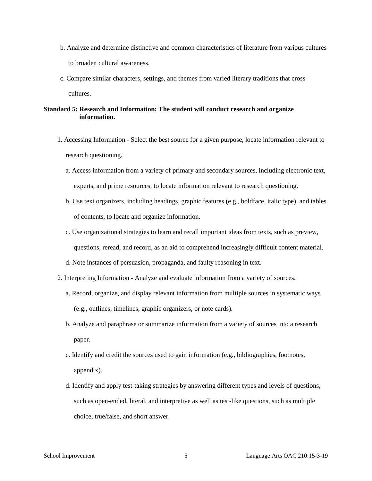- b. Analyze and determine distinctive and common characteristics of literature from various cultures to broaden cultural awareness.
- c. Compare similar characters, settings, and themes from varied literary traditions that cross cultures.

# **Standard 5: Research and Information: The student will conduct research and organize information.**

- 1. Accessing Information Select the best source for a given purpose, locate information relevant to research questioning.
	- a. Access information from a variety of primary and secondary sources, including electronic text, experts, and prime resources, to locate information relevant to research questioning.
	- b. Use text organizers, including headings, graphic features (e.g., boldface, italic type), and tables of contents, to locate and organize information.
	- c. Use organizational strategies to learn and recall important ideas from texts, such as preview, questions, reread, and record, as an aid to comprehend increasingly difficult content material.
	- d. Note instances of persuasion, propaganda, and faulty reasoning in text.
- 2. Interpreting Information Analyze and evaluate information from a variety of sources.
	- a. Record, organize, and display relevant information from multiple sources in systematic ways (e.g., outlines, timelines, graphic organizers, or note cards).
	- b. Analyze and paraphrase or summarize information from a variety of sources into a research paper.
	- c. Identify and credit the sources used to gain information (e.g., bibliographies, footnotes, appendix).
	- d. Identify and apply test-taking strategies by answering different types and levels of questions, such as open-ended, literal, and interpretive as well as test-like questions, such as multiple choice, true/false, and short answer.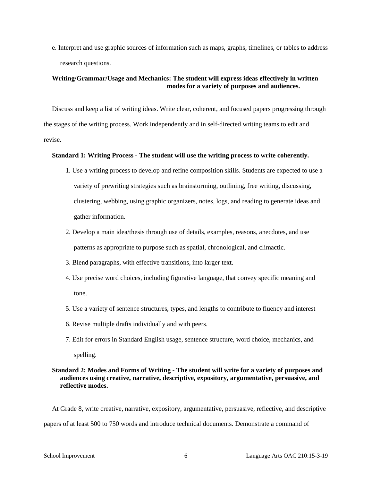e. Interpret and use graphic sources of information such as maps, graphs, timelines, or tables to address research questions.

#### **Writing/Grammar/Usage and Mechanics: The student will express ideas effectively in written modes for a variety of purposes and audiences.**

Discuss and keep a list of writing ideas. Write clear, coherent, and focused papers progressing through the stages of the writing process. Work independently and in self-directed writing teams to edit and revise.

#### **Standard 1: Writing Process - The student will use the writing process to write coherently.**

- 1. Use a writing process to develop and refine composition skills. Students are expected to use a variety of prewriting strategies such as brainstorming, outlining, free writing, discussing, clustering, webbing, using graphic organizers, notes, logs, and reading to generate ideas and gather information.
- 2. Develop a main idea/thesis through use of details, examples, reasons, anecdotes, and use patterns as appropriate to purpose such as spatial, chronological, and climactic.
- 3. Blend paragraphs, with effective transitions, into larger text.
- 4. Use precise word choices, including figurative language, that convey specific meaning and tone.
- 5. Use a variety of sentence structures, types, and lengths to contribute to fluency and interest
- 6. Revise multiple drafts individually and with peers.
- 7. Edit for errors in Standard English usage, sentence structure, word choice, mechanics, and spelling.

#### **Standard 2: Modes and Forms of Writing - The student will write for a variety of purposes and audiences using creative, narrative, descriptive, expository, argumentative, persuasive, and reflective modes.**

At Grade 8, write creative, narrative, expository, argumentative, persuasive, reflective, and descriptive papers of at least 500 to 750 words and introduce technical documents. Demonstrate a command of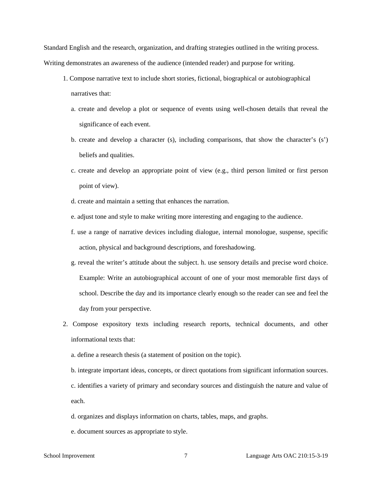Standard English and the research, organization, and drafting strategies outlined in the writing process. Writing demonstrates an awareness of the audience (intended reader) and purpose for writing.

- 1. Compose narrative text to include short stories, fictional, biographical or autobiographical narratives that:
	- a. create and develop a plot or sequence of events using well-chosen details that reveal the significance of each event.
	- b. create and develop a character (s), including comparisons, that show the character's (s') beliefs and qualities.
	- c. create and develop an appropriate point of view (e.g., third person limited or first person point of view).
	- d. create and maintain a setting that enhances the narration.
	- e. adjust tone and style to make writing more interesting and engaging to the audience.
	- f. use a range of narrative devices including dialogue, internal monologue, suspense, specific action, physical and background descriptions, and foreshadowing.
	- g. reveal the writer's attitude about the subject. h. use sensory details and precise word choice. Example: Write an autobiographical account of one of your most memorable first days of school. Describe the day and its importance clearly enough so the reader can see and feel the day from your perspective.
- 2. Compose expository texts including research reports, technical documents, and other informational texts that:
	- a. define a research thesis (a statement of position on the topic).
	- b. integrate important ideas, concepts, or direct quotations from significant information sources.

c. identifies a variety of primary and secondary sources and distinguish the nature and value of each.

- d. organizes and displays information on charts, tables, maps, and graphs.
- e. document sources as appropriate to style.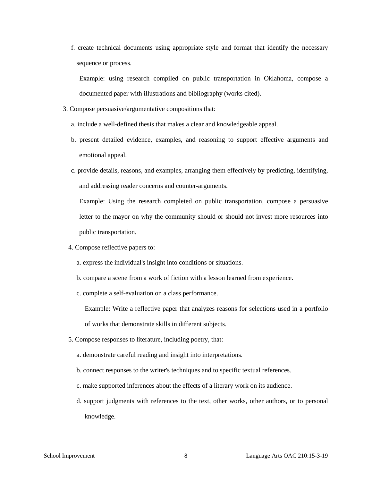f. create technical documents using appropriate style and format that identify the necessary sequence or process.

Example: using research compiled on public transportation in Oklahoma, compose a documented paper with illustrations and bibliography (works cited).

- 3. Compose persuasive/argumentative compositions that:
	- a. include a well-defined thesis that makes a clear and knowledgeable appeal.
	- b. present detailed evidence, examples, and reasoning to support effective arguments and emotional appeal.
	- c. provide details, reasons, and examples, arranging them effectively by predicting, identifying, and addressing reader concerns and counter-arguments.

Example: Using the research completed on public transportation, compose a persuasive letter to the mayor on why the community should or should not invest more resources into public transportation.

- 4. Compose reflective papers to:
	- a. express the individual's insight into conditions or situations.
	- b. compare a scene from a work of fiction with a lesson learned from experience.
	- c. complete a self-evaluation on a class performance.

Example: Write a reflective paper that analyzes reasons for selections used in a portfolio of works that demonstrate skills in different subjects.

- 5. Compose responses to literature, including poetry, that:
	- a. demonstrate careful reading and insight into interpretations.
	- b. connect responses to the writer's techniques and to specific textual references.
	- c. make supported inferences about the effects of a literary work on its audience.
	- d. support judgments with references to the text, other works, other authors, or to personal knowledge.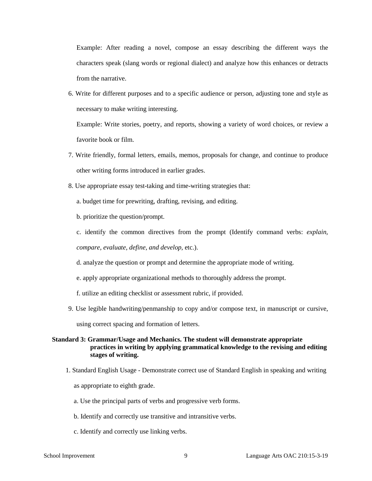Example: After reading a novel, compose an essay describing the different ways the characters speak (slang words or regional dialect) and analyze how this enhances or detracts from the narrative.

6. Write for different purposes and to a specific audience or person, adjusting tone and style as necessary to make writing interesting.

Example: Write stories, poetry, and reports, showing a variety of word choices, or review a favorite book or film.

- 7. Write friendly, formal letters, emails, memos, proposals for change, and continue to produce other writing forms introduced in earlier grades.
- 8. Use appropriate essay test-taking and time-writing strategies that:
	- a. budget time for prewriting, drafting, revising, and editing.
	- b. prioritize the question/prompt.
	- c. identify the common directives from the prompt (Identify command verbs: *explain,*

*compare, evaluate, define, and develop,* etc.).

- d. analyze the question or prompt and determine the appropriate mode of writing.
- e. apply appropriate organizational methods to thoroughly address the prompt.

f. utilize an editing checklist or assessment rubric, if provided.

9. Use legible handwriting/penmanship to copy and/or compose text, in manuscript or cursive, using correct spacing and formation of letters.

#### **Standard 3: Grammar/Usage and Mechanics. The student will demonstrate appropriate practices in writing by applying grammatical knowledge to the revising and editing stages of writing.**

- 1. Standard English Usage Demonstrate correct use of Standard English in speaking and writing as appropriate to eighth grade.
	- a. Use the principal parts of verbs and progressive verb forms.
	- b. Identify and correctly use transitive and intransitive verbs.
	- c. Identify and correctly use linking verbs.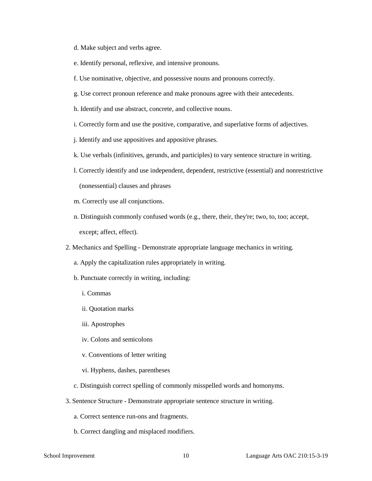- d. Make subject and verbs agree.
- e. Identify personal, reflexive, and intensive pronouns.
- f. Use nominative, objective, and possessive nouns and pronouns correctly.
- g. Use correct pronoun reference and make pronouns agree with their antecedents.
- h. Identify and use abstract, concrete, and collective nouns.
- i. Correctly form and use the positive, comparative, and superlative forms of adjectives.
- j. Identify and use appositives and appositive phrases.
- k. Use verbals (infinitives, gerunds, and participles) to vary sentence structure in writing.
- l. Correctly identify and use independent, dependent, restrictive (essential) and nonrestrictive (nonessential) clauses and phrases
- m. Correctly use all conjunctions.
- n. Distinguish commonly confused words (e.g., there, their, they're; two, to, too; accept, except; affect, effect).
- 2. Mechanics and Spelling Demonstrate appropriate language mechanics in writing.
	- a. Apply the capitalization rules appropriately in writing.
	- b. Punctuate correctly in writing, including:
		- i. Commas
		- ii. Quotation marks
		- iii. Apostrophes
		- iv. Colons and semicolons
		- v. Conventions of letter writing
		- vi. Hyphens, dashes, parentheses
	- c. Distinguish correct spelling of commonly misspelled words and homonyms.
- 3. Sentence Structure Demonstrate appropriate sentence structure in writing.
	- a. Correct sentence run-ons and fragments.
	- b. Correct dangling and misplaced modifiers.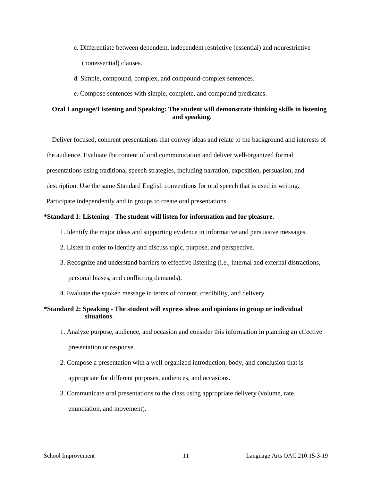- c. Differentiate between dependent, independent restrictive (essential) and nonrestrictive (nonessential) clauses.
- d. Simple, compound, complex, and compound-complex sentences.
- e. Compose sentences with simple, complete, and compound predicates.

### **Oral Language/Listening and Speaking: The student will demonstrate thinking skills in listening and speaking.**

Deliver focused, coherent presentations that convey ideas and relate to the background and interests of the audience. Evaluate the content of oral communication and deliver well-organized formal presentations using traditional speech strategies, including narration, exposition, persuasion, and description. Use the same Standard English conventions for oral speech that is used in writing.

Participate independently and in groups to create oral presentations.

### **\*Standard 1: Listening - The student will listen for information and for pleasure.**

- 1. Identify the major ideas and supporting evidence in informative and persuasive messages.
- 2. Listen in order to identify and discuss topic, purpose, and perspective.
- 3. Recognize and understand barriers to effective listening (i.e., internal and external distractions, personal biases, and conflicting demands).
- 4. Evaluate the spoken message in terms of content, credibility, and delivery.

## **\*Standard 2: Speaking - The student will express ideas and opinions in group or individual situations**.

- 1. Analyze purpose, audience, and occasion and consider this information in planning an effective presentation or response.
- 2. Compose a presentation with a well-organized introduction, body, and conclusion that is appropriate for different purposes, audiences, and occasions.
- 3. Communicate oral presentations to the class using appropriate delivery (volume, rate, enunciation, and movement).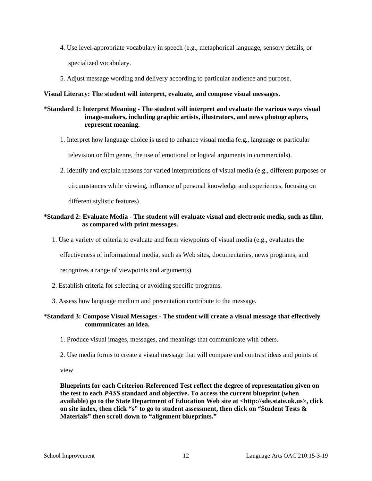- 4. Use level-appropriate vocabulary in speech (e.g., metaphorical language, sensory details, or specialized vocabulary.
- 5. Adjust message wording and delivery according to particular audience and purpose.

#### **Visual Literacy: The student will interpret, evaluate, and compose visual messages.**

#### \***Standard 1: Interpret Meaning - The student will interpret and evaluate the various ways visual image-makers, including graphic artists, illustrators, and news photographers, represent meaning.**

1. Interpret how language choice is used to enhance visual media (e.g., language or particular

television or film genre, the use of emotional or logical arguments in commercials).

2. Identify and explain reasons for varied interpretations of visual media (e.g., different purposes or

circumstances while viewing, influence of personal knowledge and experiences, focusing on

different stylistic features).

#### **\*Standard 2: Evaluate Media - The student will evaluate visual and electronic media, such as film, as compared with print messages.**

1. Use a variety of criteria to evaluate and form viewpoints of visual media (e.g., evaluates the

effectiveness of informational media, such as Web sites, documentaries, news programs, and

recognizes a range of viewpoints and arguments).

- 2. Establish criteria for selecting or avoiding specific programs.
- 3. Assess how language medium and presentation contribute to the message.

## \***Standard 3: Compose Visual Messages - The student will create a visual message that effectively communicates an idea.**

- 1. Produce visual images, messages, and meanings that communicate with others.
- 2. Use media forms to create a visual message that will compare and contrast ideas and points of

view.

**Blueprints for each Criterion-Referenced Test reflect the degree of representation given on the test to each** *PASS* **standard and objective. To access the current blueprint (when available) go to the State Department of Education Web site at <http://sde.state.ok.us>, click on site index, then click "s" to go to student assessment, then click on "Student Tests & Materials" then scroll down to "alignment blueprints."**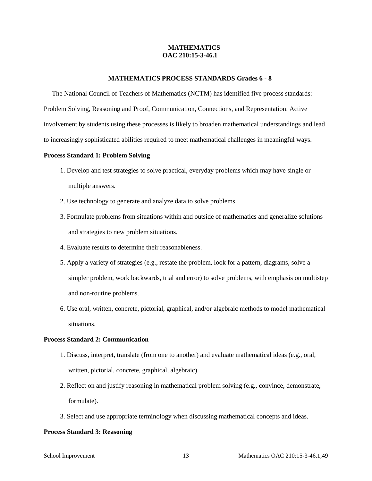#### **MATHEMATICS OAC 210:15-3-46.1**

#### **MATHEMATICS PROCESS STANDARDS Grades 6 - 8**

The National Council of Teachers of Mathematics (NCTM) has identified five process standards: Problem Solving, Reasoning and Proof, Communication, Connections, and Representation. Active involvement by students using these processes is likely to broaden mathematical understandings and lead to increasingly sophisticated abilities required to meet mathematical challenges in meaningful ways.

#### **Process Standard 1: Problem Solving**

- 1. Develop and test strategies to solve practical, everyday problems which may have single or multiple answers.
- 2. Use technology to generate and analyze data to solve problems.
- 3. Formulate problems from situations within and outside of mathematics and generalize solutions and strategies to new problem situations.
- 4. Evaluate results to determine their reasonableness.
- 5. Apply a variety of strategies (e.g., restate the problem, look for a pattern, diagrams, solve a simpler problem, work backwards, trial and error) to solve problems, with emphasis on multistep and non-routine problems.
- 6. Use oral, written, concrete, pictorial, graphical, and/or algebraic methods to model mathematical situations.

#### **Process Standard 2: Communication**

- 1. Discuss, interpret, translate (from one to another) and evaluate mathematical ideas (e.g., oral, written, pictorial, concrete, graphical, algebraic).
- 2. Reflect on and justify reasoning in mathematical problem solving (e.g., convince, demonstrate, formulate).
- 3. Select and use appropriate terminology when discussing mathematical concepts and ideas.

#### **Process Standard 3: Reasoning**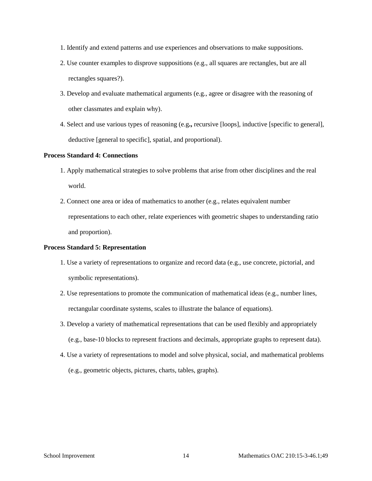- 1. Identify and extend patterns and use experiences and observations to make suppositions.
- 2. Use counter examples to disprove suppositions (e.g., all squares are rectangles, but are all rectangles squares?).
- 3. Develop and evaluate mathematical arguments (e.g., agree or disagree with the reasoning of other classmates and explain why).
- 4. Select and use various types of reasoning (e.g**.,** recursive [loops], inductive [specific to general], deductive [general to specific], spatial, and proportional).

#### **Process Standard 4: Connections**

- 1. Apply mathematical strategies to solve problems that arise from other disciplines and the real world.
- 2. Connect one area or idea of mathematics to another (e.g., relates equivalent number representations to each other, relate experiences with geometric shapes to understanding ratio and proportion).

#### **Process Standard 5: Representation**

- 1. Use a variety of representations to organize and record data (e.g., use concrete, pictorial, and symbolic representations).
- 2. Use representations to promote the communication of mathematical ideas (e.g., number lines, rectangular coordinate systems, scales to illustrate the balance of equations).
- 3. Develop a variety of mathematical representations that can be used flexibly and appropriately (e.g., base-10 blocks to represent fractions and decimals, appropriate graphs to represent data).
- 4. Use a variety of representations to model and solve physical, social, and mathematical problems (e.g., geometric objects, pictures, charts, tables, graphs).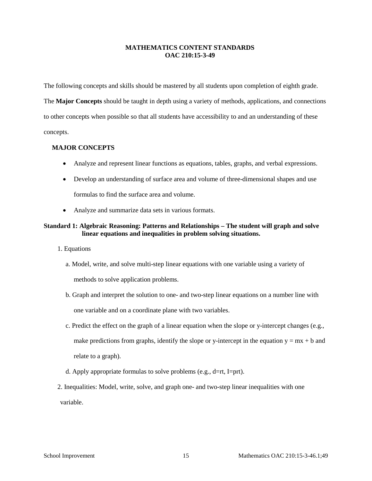#### **MATHEMATICS CONTENT STANDARDS OAC 210:15-3-49**

The following concepts and skills should be mastered by all students upon completion of eighth grade. The **Major Concepts** should be taught in depth using a variety of methods, applications, and connections to other concepts when possible so that all students have accessibility to and an understanding of these concepts.

#### **MAJOR CONCEPTS**

- Analyze and represent linear functions as equations, tables, graphs, and verbal expressions.
- Develop an understanding of surface area and volume of three-dimensional shapes and use formulas to find the surface area and volume.
- Analyze and summarize data sets in various formats.

#### **Standard 1: Algebraic Reasoning: Patterns and Relationships – The student will graph and solve linear equations and inequalities in problem solving situations.**

- 1. Equations
	- a. Model, write, and solve multi-step linear equations with one variable using a variety of

methods to solve application problems.

- b. Graph and interpret the solution to one- and two-step linear equations on a number line with one variable and on a coordinate plane with two variables.
- c. Predict the effect on the graph of a linear equation when the slope or y-intercept changes (e.g., make predictions from graphs, identify the slope or y-intercept in the equation  $y = mx + b$  and relate to a graph).
- d. Apply appropriate formulas to solve problems (e.g., d=rt, I=prt).
- 2. Inequalities: Model, write, solve, and graph one- and two-step linear inequalities with one variable.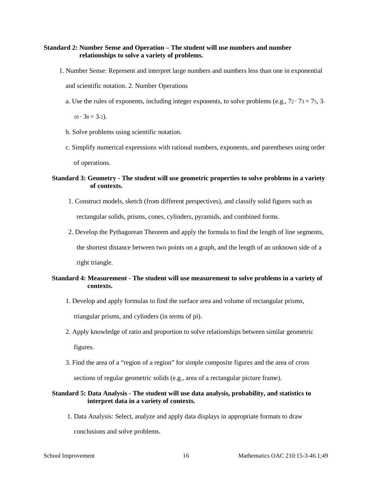#### **Standard 2: Number Sense and Operation – The student will use numbers and number relationships to solve a variety of problems.**

1. Number Sense: Represent and interpret large numbers and numbers less than one in exponential

and scientific notation. 2. Number Operations

a. Use the rules of exponents, including integer exponents, to solve problems (e.g.,  $72 \cdot 73 = 75$ , 3-

 $10 \cdot 38 = 3 - 2$ .

- b. Solve problems using scientific notation.
- c. Simplify numerical expressions with rational numbers, exponents, and parentheses using order of operations.

#### **Standard 3: Geometry - The student will use geometric properties to solve problems in a variety of contexts.**

1. Construct models, sketch (from different perspectives), and classify solid figures such as

rectangular solids, prisms, cones, cylinders, pyramids, and combined forms.

2. Develop the Pythagorean Theorem and apply the formula to find the length of line segments,

the shortest distance between two points on a graph, and the length of an unknown side of a

right triangle.

# **Standard 4: Measurement - The student will use measurement to solve problems in a variety of contexts.**

1. Develop and apply formulas to find the surface area and volume of rectangular prisms,

triangular prisms, and cylinders (in terms of pi).

- 2. Apply knowledge of ratio and proportion to solve relationships between similar geometric figures.
- 3. Find the area of a "region of a region" for simple composite figures and the area of cross sections of regular geometric solids (e.g., area of a rectangular picture frame).

## **Standard 5: Data Analysis - The student will use data analysis, probability, and statistics to interpret data in a variety of contexts.**

1. Data Analysis: Select, analyze and apply data displays in appropriate formats to draw

conclusions and solve problems.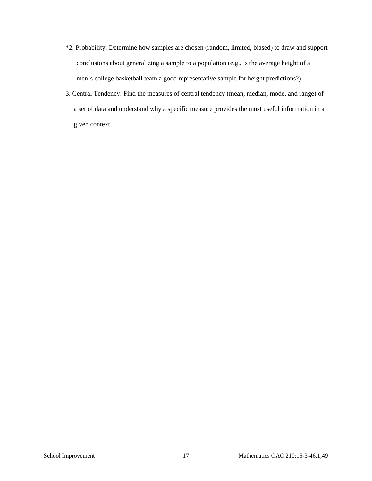- \*2. Probability: Determine how samples are chosen (random, limited, biased) to draw and support conclusions about generalizing a sample to a population (e.g., is the average height of a men's college basketball team a good representative sample for height predictions?).
- 3. Central Tendency: Find the measures of central tendency (mean, median, mode, and range) of a set of data and understand why a specific measure provides the most useful information in a given context.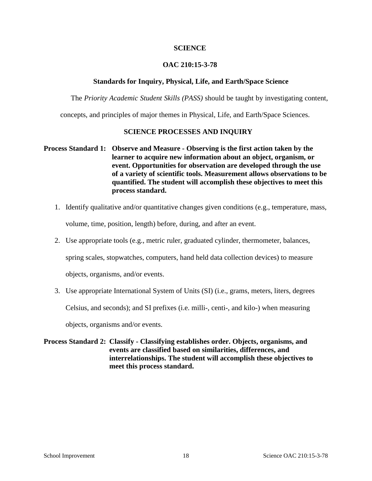# **SCIENCE**

# **OAC 210:15-3-78**

#### **Standards for Inquiry, Physical, Life, and Earth/Space Science**

The *Priority Academic Student Skills (PASS)* should be taught by investigating content,

concepts, and principles of major themes in Physical, Life, and Earth/Space Sciences.

## **SCIENCE PROCESSES AND INQUIRY**

# **Process Standard 1: Observe and Measure - Observing is the first action taken by the learner to acquire new information about an object, organism, or event. Opportunities for observation are developed through the use of a variety of scientific tools. Measurement allows observations to be quantified. The student will accomplish these objectives to meet this process standard.**

- 1. Identify qualitative and/or quantitative changes given conditions (e.g., temperature, mass, volume, time, position, length) before, during, and after an event.
- 2. Use appropriate tools (e.g., metric ruler, graduated cylinder, thermometer, balances, spring scales, stopwatches, computers, hand held data collection devices) to measure objects, organisms, and/or events.
- 3. Use appropriate International System of Units (SI) (i.e., grams, meters, liters, degrees

Celsius, and seconds); and SI prefixes (i.e. milli-, centi-, and kilo-) when measuring

objects, organisms and/or events.

# **Process Standard 2: Classify - Classifying establishes order. Objects, organisms, and events are classified based on similarities, differences, and interrelationships. The student will accomplish these objectives to meet this process standard.**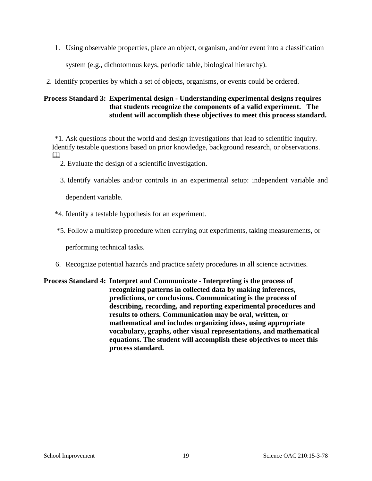1. Using observable properties, place an object, organism, and/or event into a classification

system (e.g., dichotomous keys, periodic table, biological hierarchy).

2. Identify properties by which a set of objects, organisms, or events could be ordered.

# **Process Standard 3: Experimental design - Understanding experimental designs requires that students recognize the components of a valid experiment. The student will accomplish these objectives to meet this process standard.**

\*1. Ask questions about the world and design investigations that lead to scientific inquiry. Identify testable questions based on prior knowledge, background research, or observations.  $\Box$ 

- 2. Evaluate the design of a scientific investigation.
- 3. Identify variables and/or controls in an experimental setup: independent variable and

dependent variable.

- \*4. Identify a testable hypothesis for an experiment.
- \*5. Follow a multistep procedure when carrying out experiments, taking measurements, or

performing technical tasks.

6. Recognize potential hazards and practice safety procedures in all science activities.

# **Process Standard 4: Interpret and Communicate - Interpreting is the process of recognizing patterns in collected data by making inferences, predictions, or conclusions. Communicating is the process of describing, recording, and reporting experimental procedures and results to others. Communication may be oral, written, or mathematical and includes organizing ideas, using appropriate vocabulary, graphs, other visual representations, and mathematical equations. The student will accomplish these objectives to meet this process standard.**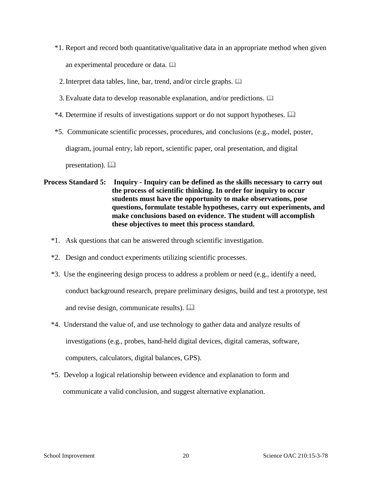- \*1. Report and record both quantitative/qualitative data in an appropriate method when given an experimental procedure or data.
	- 2.Interpret data tables, line, bar, trend, and/or circle graphs.
- 3.Evaluate data to develop reasonable explanation, and/or predictions.
- \*4. Determine if results of investigations support or do not support hypotheses.
- \*5. Communicate scientific processes, procedures, and conclusions (e.g., model, poster, diagram, journal entry, lab report, scientific paper, oral presentation, and digital

presentation).  $\Box$ 

# **Process Standard 5: Inquiry - Inquiry can be defined as the skills necessary to carry out the process of scientific thinking. In order for inquiry to occur students must have the opportunity to make observations, pose questions, formulate testable hypotheses, carry out experiments, and make conclusions based on evidence. The student will accomplish these objectives to meet this process standard.**

- \*1. Ask questions that can be answered through scientific investigation.
- \*2. Design and conduct experiments utilizing scientific processes.
- \*3. Use the engineering design process to address a problem or need (e.g., identify a need, conduct background research, prepare preliminary designs, build and test a prototype, test and revise design, communicate results).
- \*4. Understand the value of, and use technology to gather data and analyze results of investigations (e.g., probes, hand-held digital devices, digital cameras, software, computers, calculators, digital balances, GPS).
- \*5. Develop a logical relationship between evidence and explanation to form and communicate a valid conclusion, and suggest alternative explanation.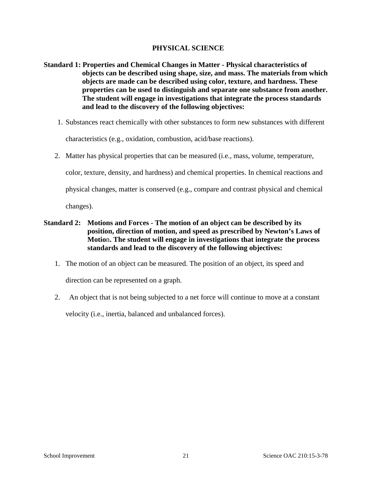# **PHYSICAL SCIENCE**

- **Standard 1: Properties and Chemical Changes in Matter - Physical characteristics of objects can be described using shape, size, and mass. The materials from which objects are made can be described using color, texture, and hardness. These properties can be used to distinguish and separate one substance from another. The student will engage in investigations that integrate the process standards and lead to the discovery of the following objectives:** 
	- 1. Substances react chemically with other substances to form new substances with different

characteristics (e.g., oxidation, combustion, acid/base reactions).

2. Matter has physical properties that can be measured (i.e., mass, volume, temperature,

color, texture, density, and hardness) and chemical properties. In chemical reactions and

physical changes, matter is conserved (e.g., compare and contrast physical and chemical

changes).

- **Standard 2: Motions and Forces - The motion of an object can be described by its position, direction of motion, and speed as prescribed by Newton's Laws of Motio**n**. The student will engage in investigations that integrate the process standards and lead to the discovery of the following objectives:** 
	- 1. The motion of an object can be measured. The position of an object, its speed and

direction can be represented on a graph.

2. An object that is not being subjected to a net force will continue to move at a constant velocity (i.e., inertia, balanced and unbalanced forces).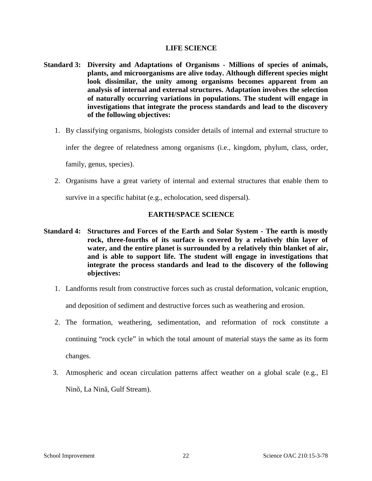## **LIFE SCIENCE**

- **Standard 3: Diversity and Adaptations of Organisms - Millions of species of animals, plants, and microorganisms are alive today. Although different species might look dissimilar, the unity among organisms becomes apparent from an analysis of internal and external structures. Adaptation involves the selection of naturally occurring variations in populations. The student will engage in investigations that integrate the process standards and lead to the discovery of the following objectives:** 
	- 1. By classifying organisms, biologists consider details of internal and external structure to

infer the degree of relatedness among organisms (i.e., kingdom, phylum, class, order,

family, genus, species).

2. Organisms have a great variety of internal and external structures that enable them to

survive in a specific habitat (e.g., echolocation, seed dispersal).

# **EARTH/SPACE SCIENCE**

- **Standard 4: Structures and Forces of the Earth and Solar System - The earth is mostly rock, three-fourths of its surface is covered by a relatively thin layer of water, and the entire planet is surrounded by a relatively thin blanket of air, and is able to support life. The student will engage in investigations that integrate the process standards and lead to the discovery of the following objectives:** 
	- 1. Landforms result from constructive forces such as crustal deformation, volcanic eruption, and deposition of sediment and destructive forces such as weathering and erosion.
	- 2. The formation, weathering, sedimentation, and reformation of rock constitute a continuing "rock cycle" in which the total amount of material stays the same as its form changes.
	- 3. Atmospheric and ocean circulation patterns affect weather on a global scale (e.g., El Ninõ, La Ninã, Gulf Stream).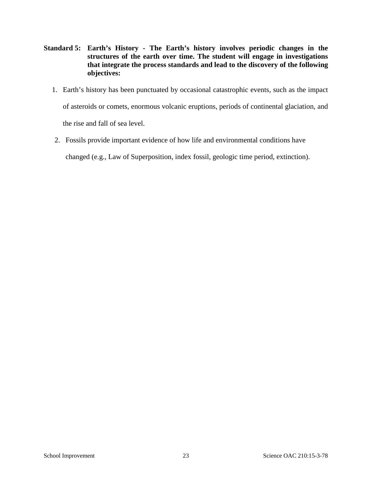- **Standard 5: Earth's History - The Earth's history involves periodic changes in the structures of the earth over time. The student will engage in investigations that integrate the process standards and lead to the discovery of the following objectives:** 
	- 1. Earth's history has been punctuated by occasional catastrophic events, such as the impact of asteroids or comets, enormous volcanic eruptions, periods of continental glaciation, and the rise and fall of sea level.
	- 2. Fossils provide important evidence of how life and environmental conditions have

changed (e.g., Law of Superposition, index fossil, geologic time period, extinction).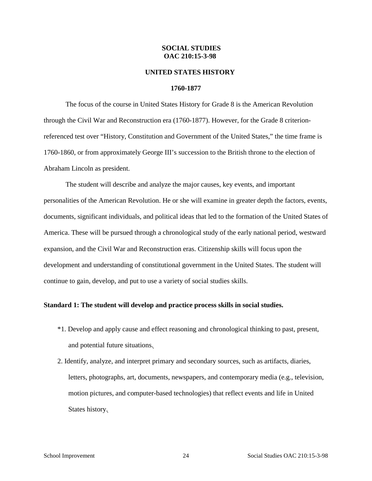#### **SOCIAL STUDIES OAC 210:15-3-98**

#### **UNITED STATES HISTORY**

#### **1760-1877**

The focus of the course in United States History for Grade 8 is the American Revolution through the Civil War and Reconstruction era (1760-1877). However, for the Grade 8 criterionreferenced test over "History, Constitution and Government of the United States," the time frame is 1760-1860, or from approximately George III's succession to the British throne to the election of Abraham Lincoln as president.

The student will describe and analyze the major causes, key events, and important personalities of the American Revolution. He or she will examine in greater depth the factors, events, documents, significant individuals, and political ideas that led to the formation of the United States of America. These will be pursued through a chronological study of the early national period, westward expansion, and the Civil War and Reconstruction eras. Citizenship skills will focus upon the development and understanding of constitutional government in the United States. The student will continue to gain, develop, and put to use a variety of social studies skills.

#### **Standard 1: The student will develop and practice process skills in social studies.**

- \*1. Develop and apply cause and effect reasoning and chronological thinking to past, present, and potential future situations.
- 2. Identify, analyze, and interpret primary and secondary sources, such as artifacts, diaries, letters, photographs, art, documents, newspapers, and contemporary media (e.g., television, motion pictures, and computer-based technologies) that reflect events and life in United States history.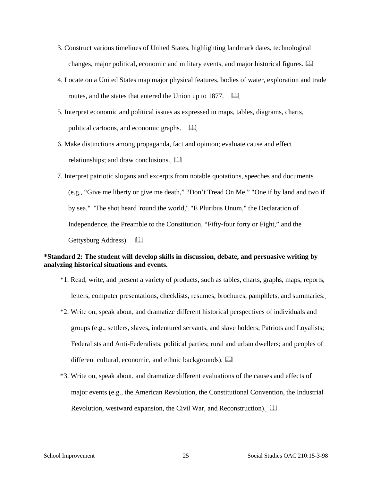- 3. Construct various timelines of United States, highlighting landmark dates, technological changes, major political**,** economic and military events, and major historical figures.
- 4. Locate on a United States map major physical features, bodies of water, exploration and trade routes, and the states that entered the Union up to 1877.  $\Box$
- 5. Interpret economic and political issues as expressed in maps, tables, diagrams, charts, political cartoons, and economic graphs.
- 6. Make distinctions among propaganda, fact and opinion; evaluate cause and effect relationships; and draw conclusions.  $\square$
- 7. Interpret patriotic slogans and excerpts from notable quotations, speeches and documents (e.g., "Give me liberty or give me death," "Don't Tread On Me," "One if by land and two if by sea," "The shot heard 'round the world," "E Pluribus Unum," the Declaration of Independence, the Preamble to the Constitution, "Fifty-four forty or Fight," and the Gettysburg Address).  $\Box$

## **\*Standard 2: The student will develop skills in discussion, debate, and persuasive writing by analyzing historical situations and events.**

- \*1. Read, write, and present a variety of products, such as tables, charts, graphs, maps, reports, letters, computer presentations, checklists, resumes, brochures, pamphlets, and summaries.
- \*2. Write on, speak about, and dramatize different historical perspectives of individuals and groups (e.g., settlers, slaves**,** indentured servants, and slave holders; Patriots and Loyalists; Federalists and Anti-Federalists; political parties; rural and urban dwellers; and peoples of different cultural, economic, and ethnic backgrounds).
- \*3. Write on, speak about, and dramatize different evaluations of the causes and effects of major events (e.g., the American Revolution, the Constitutional Convention, the Industrial Revolution, westward expansion, the Civil War, and Reconstruction).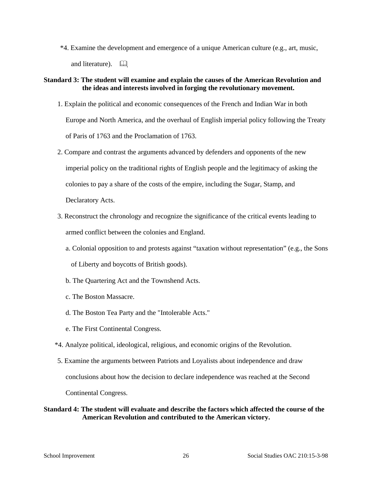\*4. Examine the development and emergence of a unique American culture (e.g., art, music, and literature).  $\Box$ 

#### **Standard 3: The student will examine and explain the causes of the American Revolution and the ideas and interests involved in forging the revolutionary movement.**

- 1. Explain the political and economic consequences of the French and Indian War in both Europe and North America, and the overhaul of English imperial policy following the Treaty of Paris of 1763 and the Proclamation of 1763.
- 2. Compare and contrast the arguments advanced by defenders and opponents of the new imperial policy on the traditional rights of English people and the legitimacy of asking the colonies to pay a share of the costs of the empire, including the Sugar, Stamp, and Declaratory Acts.
- 3. Reconstruct the chronology and recognize the significance of the critical events leading to armed conflict between the colonies and England.
	- a. Colonial opposition to and protests against "taxation without representation" (e.g., the Sons of Liberty and boycotts of British goods).
	- b. The Quartering Act and the Townshend Acts.
	- c. The Boston Massacre.
	- d. The Boston Tea Party and the "Intolerable Acts."
	- e. The First Continental Congress.
- \*4. Analyze political, ideological, religious, and economic origins of the Revolution.
- 5. Examine the arguments between Patriots and Loyalists about independence and draw conclusions about how the decision to declare independence was reached at the Second Continental Congress.

# **Standard 4: The student will evaluate and describe the factors which affected the course of the American Revolution and contributed to the American victory.**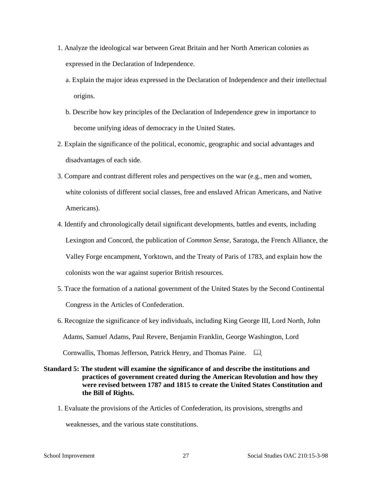- 1. Analyze the ideological war between Great Britain and her North American colonies as expressed in the Declaration of Independence.
	- a. Explain the major ideas expressed in the Declaration of Independence and their intellectual origins.
	- b. Describe how key principles of the Declaration of Independence grew in importance to become unifying ideas of democracy in the United States.
- 2. Explain the significance of the political, economic, geographic and social advantages and disadvantages of each side.
- 3. Compare and contrast different roles and perspectives on the war (e.g., men and women, white colonists of different social classes, free and enslaved African Americans, and Native Americans).
- 4. Identify and chronologically detail significant developments, battles and events, including Lexington and Concord, the publication of *Common Sense*, Saratoga, the French Alliance, the Valley Forge encampment, Yorktown, and the Treaty of Paris of 1783, and explain how the colonists won the war against superior British resources.
- 5. Trace the formation of a national government of the United States by the Second Continental Congress in the Articles of Confederation.
- 6. Recognize the significance of key individuals, including King George III, Lord North, John Adams, Samuel Adams, Paul Revere, Benjamin Franklin, George Washington, Lord Cornwallis, Thomas Jefferson, Patrick Henry, and Thomas Paine.

# **Standard 5: The student will examine the significance of and describe the institutions and practices of government created during the American Revolution and how they were revised between 1787 and 1815 to create the United States Constitution and the Bill of Rights.**

1. Evaluate the provisions of the Articles of Confederation, its provisions, strengths and

weaknesses, and the various state constitutions.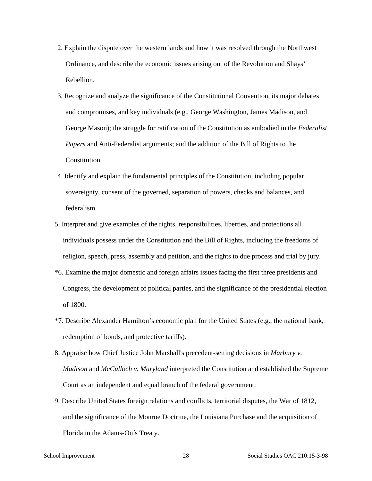- 2. Explain the dispute over the western lands and how it was resolved through the Northwest Ordinance, and describe the economic issues arising out of the Revolution and Shays' Rebellion.
- 3. Recognize and analyze the significance of the Constitutional Convention, its major debates and compromises, and key individuals (e.g., George Washington, James Madison, and George Mason); the struggle for ratification of the Constitution as embodied in the *Federalist Papers* and Anti-Federalist arguments; and the addition of the Bill of Rights to the Constitution.
- 4. Identify and explain the fundamental principles of the Constitution, including popular sovereignty, consent of the governed, separation of powers, checks and balances, and federalism.
- 5. Interpret and give examples of the rights, responsibilities, liberties, and protections all individuals possess under the Constitution and the Bill of Rights, including the freedoms of religion, speech, press, assembly and petition, and the rights to due process and trial by jury.
- \*6. Examine the major domestic and foreign affairs issues facing the first three presidents and Congress, the development of political parties, and the significance of the presidential election of 1800.
- \*7. Describe Alexander Hamilton's economic plan for the United States (e.g., the national bank, redemption of bonds, and protective tariffs).
- 8. Appraise how Chief Justice John Marshall's precedent-setting decisions in *Marbury v. Madison* and *McCulloch v. Maryland* interpreted the Constitution and established the Supreme Court as an independent and equal branch of the federal government.
- 9. Describe United States foreign relations and conflicts, territorial disputes, the War of 1812, and the significance of the Monroe Doctrine, the Louisiana Purchase and the acquisition of Florida in the Adams-Onís Treaty.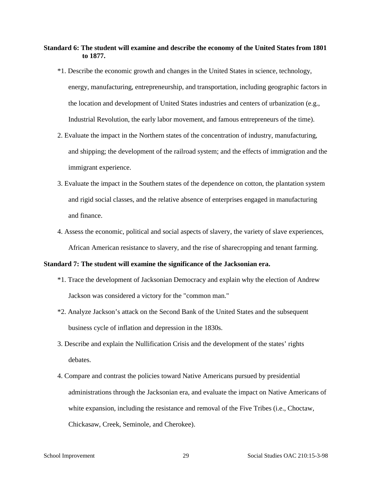# **Standard 6: The student will examine and describe the economy of the United States from 1801 to 1877.**

- \*1. Describe the economic growth and changes in the United States in science, technology, energy, manufacturing, entrepreneurship, and transportation, including geographic factors in the location and development of United States industries and centers of urbanization (e.g., Industrial Revolution, the early labor movement, and famous entrepreneurs of the time).
- 2. Evaluate the impact in the Northern states of the concentration of industry, manufacturing, and shipping; the development of the railroad system; and the effects of immigration and the immigrant experience.
- 3. Evaluate the impact in the Southern states of the dependence on cotton, the plantation system and rigid social classes, and the relative absence of enterprises engaged in manufacturing and finance.
- 4. Assess the economic, political and social aspects of slavery, the variety of slave experiences, African American resistance to slavery, and the rise of sharecropping and tenant farming.

#### **Standard 7: The student will examine the significance of the Jacksonian era.**

- \*1. Trace the development of Jacksonian Democracy and explain why the election of Andrew Jackson was considered a victory for the "common man."
- \*2. Analyze Jackson's attack on the Second Bank of the United States and the subsequent business cycle of inflation and depression in the 1830s.
- 3. Describe and explain the Nullification Crisis and the development of the states' rights debates.
- 4. Compare and contrast the policies toward Native Americans pursued by presidential administrations through the Jacksonian era, and evaluate the impact on Native Americans of white expansion, including the resistance and removal of the Five Tribes (i.e., Choctaw, Chickasaw, Creek, Seminole, and Cherokee).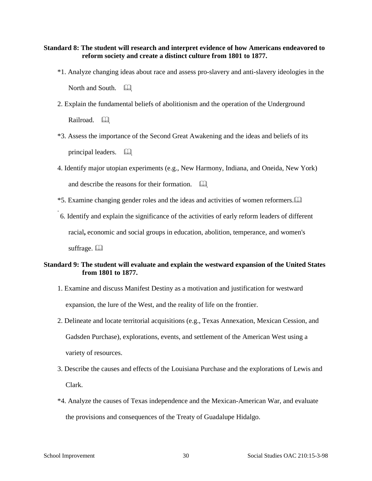### **Standard 8: The student will research and interpret evidence of how Americans endeavored to reform society and create a distinct culture from 1801 to 1877.**

- \*1. Analyze changing ideas about race and assess pro-slavery and anti-slavery ideologies in the North and South.  $\Box$
- 2. Explain the fundamental beliefs of abolitionism and the operation of the Underground Railroad. a
- \*3. Assess the importance of the Second Great Awakening and the ideas and beliefs of its principal leaders.
- 4. Identify major utopian experiments (e.g., New Harmony, Indiana, and Oneida, New York) and describe the reasons for their formation.  $\Box$
- \*5. Examine changing gender roles and the ideas and activities of women reformers.
- 6. Identify and explain the significance of the activities of early reform leaders of different racial**,** economic and social groups in education, abolition, temperance, and women's suffrage.  $\Box$

# **Standard 9: The student will evaluate and explain the westward expansion of the United States from 1801 to 1877.**

- 1. Examine and discuss Manifest Destiny as a motivation and justification for westward expansion, the lure of the West, and the reality of life on the frontier.
- 2. Delineate and locate territorial acquisitions (e.g., Texas Annexation, Mexican Cession, and Gadsden Purchase), explorations, events, and settlement of the American West using a variety of resources.
- 3. Describe the causes and effects of the Louisiana Purchase and the explorations of Lewis and Clark.
- \*4. Analyze the causes of Texas independence and the Mexican-American War, and evaluate the provisions and consequences of the Treaty of Guadalupe Hidalgo.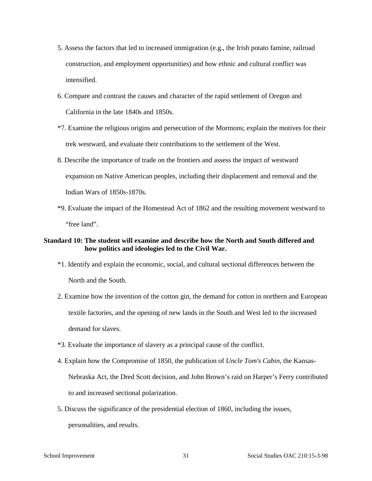- 5. Assess the factors that led to increased immigration (e.g., the Irish potato famine, railroad construction, and employment opportunities) and how ethnic and cultural conflict was intensified.
- 6. Compare and contrast the causes and character of the rapid settlement of Oregon and California in the late 1840s and 1850s.
- \*7. Examine the religious origins and persecution of the Mormons; explain the motives for their trek westward, and evaluate their contributions to the settlement of the West.
- 8. Describe the importance of trade on the frontiers and assess the impact of westward expansion on Native American peoples, including their displacement and removal and the Indian Wars of 1850s-1870s.
- \*9. Evaluate the impact of the Homestead Act of 1862 and the resulting movement westward to "free land".

# **Standard 10: The student will examine and describe how the North and South differed and how politics and ideologies led to the Civil War.**

- \*1. Identify and explain the economic, social, and cultural sectional differences between the North and the South.
- 2. Examine how the invention of the cotton gin, the demand for cotton in northern and European textile factories, and the opening of new lands in the South and West led to the increased demand for slaves.
- \*3. Evaluate the importance of slavery as a principal cause of the conflict.
- 4. Explain how the Compromise of 1850, the publication of *Uncle Tom's Cabin,* the Kansas-Nebraska Act*,* the Dred Scott decision, and John Brown's raid on Harper's Ferry contributed to and increased sectional polarization.
- 5. Discuss the significance of the presidential election of 1860, including the issues, personalities, and results.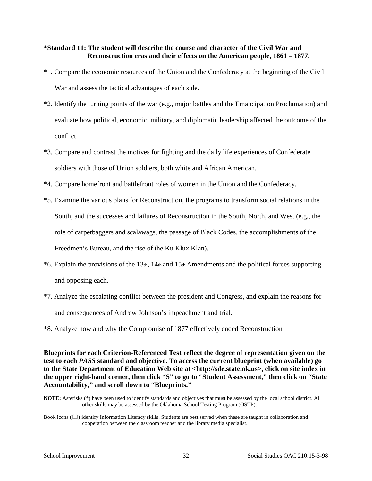# **\*Standard 11: The student will describe the course and character of the Civil War and Reconstruction eras and their effects on the American people, 1861 – 1877.**

- \*1. Compare the economic resources of the Union and the Confederacy at the beginning of the Civil War and assess the tactical advantages of each side.
- \*2. Identify the turning points of the war (e.g., major battles and the Emancipation Proclamation) and evaluate how political, economic, military, and diplomatic leadership affected the outcome of the conflict.
- \*3. Compare and contrast the motives for fighting and the daily life experiences of Confederate soldiers with those of Union soldiers, both white and African American.
- \*4. Compare homefront and battlefront roles of women in the Union and the Confederacy.
- \*5. Examine the various plans for Reconstruction, the programs to transform social relations in the South, and the successes and failures of Reconstruction in the South, North, and West (e.g., the role of carpetbaggers and scalawags, the passage of Black Codes, the accomplishments of the Freedmen's Bureau, and the rise of the Ku Klux Klan).
- \*6. Explain the provisions of the 13th, 14th and 15th Amendments and the political forces supporting and opposing each.
- \*7. Analyze the escalating conflict between the president and Congress, and explain the reasons for and consequences of Andrew Johnson's impeachment and trial.
- \*8. Analyze how and why the Compromise of 1877 effectively ended Reconstruction

# **Blueprints for each Criterion-Referenced Test reflect the degree of representation given on the test to each** *PASS* **standard and objective. To access the current blueprint (when available) go to the State Department of Education Web site at <http://sde.state.ok.us>, click on site index in the upper right-hand corner, then click "S" to go to "Student Assessment," then click on "State Accountability," and scroll down to "Blueprints."**

**NOTE:** Asterisks (\*) have been used to identify standards and objectives that must be assessed by the local school district. All other skills may be assessed by the Oklahoma School Testing Program (OSTP).

Book icons ( $\Box$ ) identify Information Literacy skills. Students are best served when these are taught in collaboration and cooperation between the classroom teacher and the library media specialist.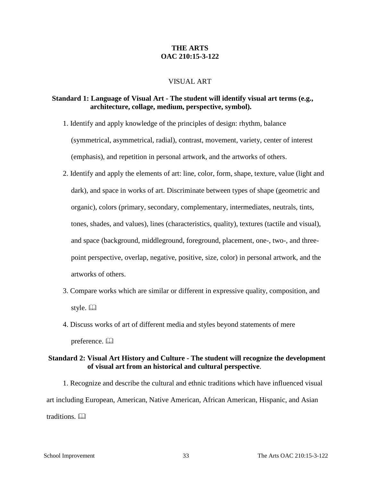# **THE ARTS OAC 210:15-3-122**

# VISUAL ART

# **Standard 1: Language of Visual Art - The student will identify visual art terms (e.g., architecture, collage, medium, perspective, symbol).**

- 1. Identify and apply knowledge of the principles of design: rhythm, balance (symmetrical, asymmetrical, radial), contrast, movement, variety, center of interest (emphasis), and repetition in personal artwork, and the artworks of others.
- 2. Identify and apply the elements of art: line, color, form, shape, texture, value (light and dark), and space in works of art. Discriminate between types of shape (geometric and organic), colors (primary, secondary, complementary, intermediates, neutrals, tints, tones, shades, and values), lines (characteristics, quality), textures (tactile and visual), and space (background, middleground, foreground, placement, one-, two-, and threepoint perspective, overlap, negative, positive, size, color) in personal artwork, and the artworks of others.
- 3. Compare works which are similar or different in expressive quality, composition, and style.  $\Box$
- 4. Discuss works of art of different media and styles beyond statements of mere preference. <sup>[1]</sup>

# **Standard 2: Visual Art History and Culture - The student will recognize the development of visual art from an historical and cultural perspective**.

1. Recognize and describe the cultural and ethnic traditions which have influenced visual art including European, American, Native American, African American, Hispanic, and Asian traditions.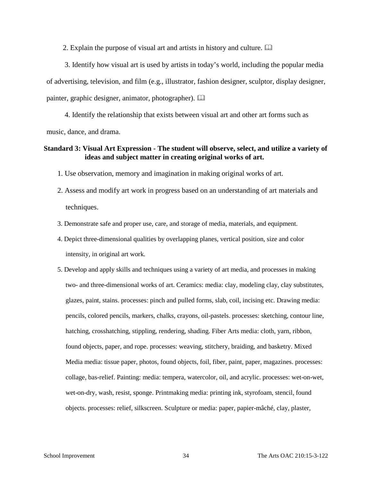2. Explain the purpose of visual art and artists in history and culture.

3. Identify how visual art is used by artists in today's world, including the popular media of advertising, television, and film (e.g., illustrator, fashion designer, sculptor, display designer, painter, graphic designer, animator, photographer).

4. Identify the relationship that exists between visual art and other art forms such as music, dance, and drama.

# **Standard 3: Visual Art Expression - The student will observe, select, and utilize a variety of ideas and subject matter in creating original works of art.**

1. Use observation, memory and imagination in making original works of art.

- 2. Assess and modify art work in progress based on an understanding of art materials and techniques.
- 3. Demonstrate safe and proper use, care, and storage of media, materials, and equipment.
- 4. Depict three-dimensional qualities by overlapping planes, vertical position, size and color intensity, in original art work.
- 5. Develop and apply skills and techniques using a variety of art media, and processes in making two- and three-dimensional works of art. Ceramics: media: clay, modeling clay, clay substitutes, glazes, paint, stains. processes: pinch and pulled forms, slab, coil, incising etc. Drawing media: pencils, colored pencils, markers, chalks, crayons, oil-pastels. processes: sketching, contour line, hatching, crosshatching, stippling, rendering, shading. Fiber Arts media: cloth, yarn, ribbon, found objects, paper, and rope. processes: weaving, stitchery, braiding, and basketry. Mixed Media media: tissue paper, photos, found objects, foil, fiber, paint, paper, magazines. processes: collage, bas-relief. Painting: media: tempera, watercolor, oil, and acrylic. processes: wet-on-wet, wet-on-dry, wash, resist, sponge. Printmaking media: printing ink, styrofoam, stencil, found objects. processes: relief, silkscreen. Sculpture or media: paper, papier-mâché, clay, plaster,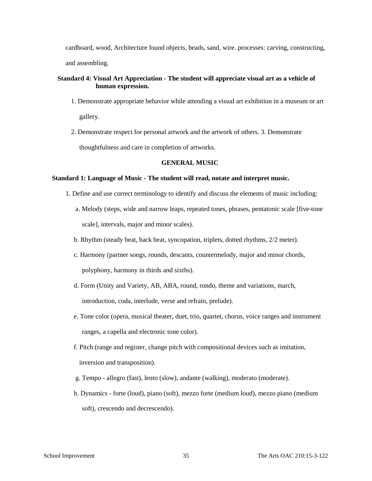cardboard, wood, Architecture found objects, beads, sand, wire. processes: carving, constructing, and assembling.

#### **Standard 4: Visual Art Appreciation - The student will appreciate visual art as a vehicle of human expression.**

- 1. Demonstrate appropriate behavior while attending a visual art exhibition in a museum or art gallery.
- 2. Demonstrate respect for personal artwork and the artwork of others. 3. Demonstrate thoughtfulness and care in completion of artworks.

#### **GENERAL MUSIC**

#### **Standard 1: Language of Music - The student will read, notate and interpret music.**

- 1. Define and use correct terminology to identify and discuss the elements of music including:
	- a. Melody (steps, wide and narrow leaps, repeated tones, phrases, pentatonic scale [five-tone scale], intervals, major and minor scales).
	- b. Rhythm (steady beat, back beat, syncopation, triplets, dotted rhythms, 2/2 meter).
	- c. Harmony (partner songs, rounds, descants, countermelody, major and minor chords, polyphony, harmony in thirds and sixths).
	- d. Form (Unity and Variety, AB, ABA, round, rondo, theme and variations, march, introduction, coda, interlude, verse and refrain, prelude).
	- e. Tone color (opera, musical theater, duet, trio, quartet, chorus, voice ranges and instrument ranges, a capella and electronic tone color).
	- f. Pitch (range and register, change pitch with compositional devices such as imitation, inversion and transposition).
	- g. Tempo allegro (fast), lento (slow), andante (walking), moderato (moderate).
	- h. Dynamics forte (loud), piano (soft), mezzo forte (medium loud), mezzo piano (medium soft), crescendo and decrescendo).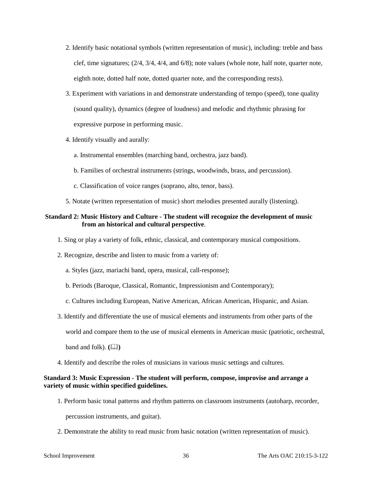- 2. Identify basic notational symbols (written representation of music), including: treble and bass clef, time signatures; (2/4, 3/4, 4/4, and 6/8); note values (whole note, half note, quarter note, eighth note, dotted half note, dotted quarter note, and the corresponding rests).
- 3. Experiment with variations in and demonstrate understanding of tempo (speed), tone quality (sound quality), dynamics (degree of loudness) and melodic and rhythmic phrasing for expressive purpose in performing music.
- 4. Identify visually and aurally:
	- a. Instrumental ensembles (marching band, orchestra, jazz band).
	- b. Families of orchestral instruments (strings, woodwinds, brass, and percussion).
	- c. Classification of voice ranges (soprano, alto, tenor, bass).
- 5. Notate (written representation of music) short melodies presented aurally (listening).

#### **Standard 2: Music History and Culture - The student will recognize the development of music from an historical and cultural perspective**.

- 1. Sing or play a variety of folk, ethnic, classical, and contemporary musical compositions.
- 2. Recognize, describe and listen to music from a variety of:
	- a. Styles (jazz, mariachi band, opera, musical, call-response);
	- b. Periods (Baroque, Classical, Romantic, Impressionism and Contemporary);
	- c. Cultures including European, Native American, African American, Hispanic, and Asian.
- 3. Identify and differentiate the use of musical elements and instruments from other parts of the
	- world and compare them to the use of musical elements in American music (patriotic, orchestral,

 $\mathbf{b}$ and and folk).  $(\Box \Box)$ 

4. Identify and describe the roles of musicians in various music settings and cultures.

#### **Standard 3: Music Expression - The student will perform, compose, improvise and arrange a variety of music within specified guidelines.**

- 1. Perform basic tonal patterns and rhythm patterns on classroom instruments (autoharp, recorder, percussion instruments, and guitar).
- 2. Demonstrate the ability to read music from basic notation (written representation of music).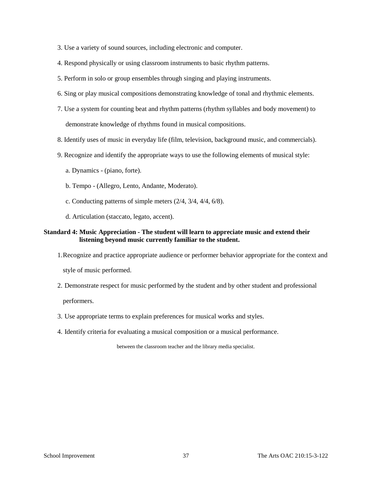- 3. Use a variety of sound sources, including electronic and computer.
- 4. Respond physically or using classroom instruments to basic rhythm patterns.
- 5. Perform in solo or group ensembles through singing and playing instruments.
- 6. Sing or play musical compositions demonstrating knowledge of tonal and rhythmic elements.
- 7. Use a system for counting beat and rhythm patterns (rhythm syllables and body movement) to demonstrate knowledge of rhythms found in musical compositions.
- 8. Identify uses of music in everyday life (film, television, background music, and commercials).
- 9. Recognize and identify the appropriate ways to use the following elements of musical style:
	- a. Dynamics (piano, forte).
	- b. Tempo (Allegro, Lento, Andante, Moderato).
	- c. Conducting patterns of simple meters (2/4, 3/4, 4/4, 6/8).
	- d. Articulation (staccato, legato, accent).

#### **Standard 4: Music Appreciation - The student will learn to appreciate music and extend their listening beyond music currently familiar to the student.**

- 1.Recognize and practice appropriate audience or performer behavior appropriate for the context and style of music performed.
- 2. Demonstrate respect for music performed by the student and by other student and professional

performers.

- 3. Use appropriate terms to explain preferences for musical works and styles.
- 4. Identify criteria for evaluating a musical composition or a musical performance.

between the classroom teacher and the library media specialist.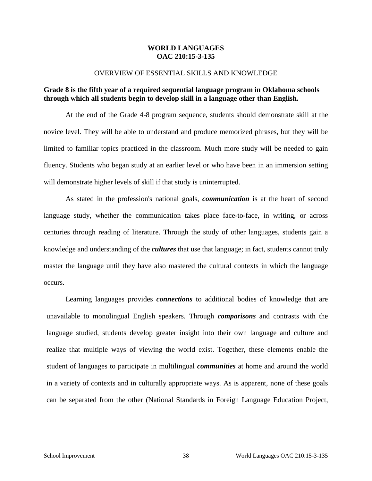# **WORLD LANGUAGES OAC 210:15-3-135**

#### OVERVIEW OF ESSENTIAL SKILLS AND KNOWLEDGE

# **Grade 8 is the fifth year of a required sequential language program in Oklahoma schools through which all students begin to develop skill in a language other than English.**

At the end of the Grade 4-8 program sequence, students should demonstrate skill at the novice level. They will be able to understand and produce memorized phrases, but they will be limited to familiar topics practiced in the classroom. Much more study will be needed to gain fluency. Students who began study at an earlier level or who have been in an immersion setting will demonstrate higher levels of skill if that study is uninterrupted.

As stated in the profession's national goals, *communication* is at the heart of second language study, whether the communication takes place face-to-face, in writing, or across centuries through reading of literature. Through the study of other languages, students gain a knowledge and understanding of the *cultures* that use that language; in fact, students cannot truly master the language until they have also mastered the cultural contexts in which the language occurs.

Learning languages provides *connections* to additional bodies of knowledge that are unavailable to monolingual English speakers. Through *comparisons* and contrasts with the language studied, students develop greater insight into their own language and culture and realize that multiple ways of viewing the world exist. Together, these elements enable the student of languages to participate in multilingual *communities* at home and around the world in a variety of contexts and in culturally appropriate ways. As is apparent, none of these goals can be separated from the other (National Standards in Foreign Language Education Project,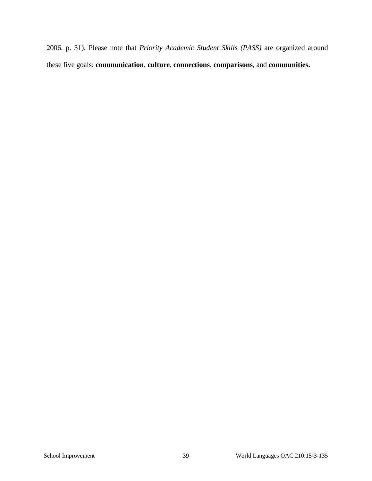2006, p. 31). Please note that *Priority Academic Student Skills (PASS)* are organized around these five goals: **communication**, **culture**, **connections**, **comparisons**, and **communities.**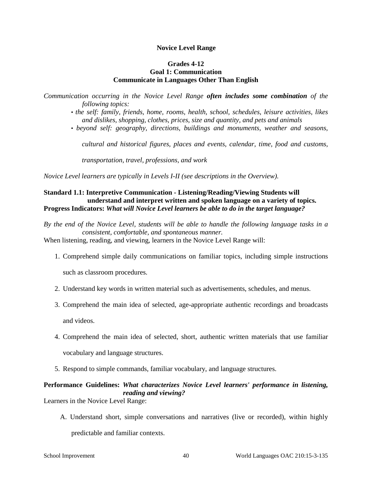#### **Novice Level Range**

# **Grades 4-12 Goal 1: Communication Communicate in Languages Other Than English**

*Communication occurring in the Novice Level Range often includes some combination of the following topics:* 

- *the self: family, friends, home, rooms, health, school, schedules, leisure activities, likes and dislikes, shopping, clothes, prices, size and quantity, and pets and animals*
- *beyond self: geography, directions, buildings and monuments, weather and seasons,*

*cultural and historical figures, places and events, calendar, time, food and customs,* 

*transportation, travel, professions, and work* 

*Novice Level learners are typically in Levels I-II (see descriptions in the Overview).* 

# **Standard 1.1: Interpretive Communication - Listening/Reading/Viewing Students will understand and interpret written and spoken language on a variety of topics. Progress Indicators:** *What will Novice Level learners be able to do in the target language?*

*By the end of the Novice Level, students will be able to handle the following language tasks in a consistent, comfortable, and spontaneous manner.* 

When listening, reading, and viewing, learners in the Novice Level Range will:

1. Comprehend simple daily communications on familiar topics, including simple instructions

such as classroom procedures.

- 2. Understand key words in written material such as advertisements, schedules, and menus.
- 3. Comprehend the main idea of selected, age-appropriate authentic recordings and broadcasts

and videos.

- 4. Comprehend the main idea of selected, short, authentic written materials that use familiar vocabulary and language structures.
- 5. Respond to simple commands, familiar vocabulary, and language structures.

# **Performance Guidelines:** *What characterizes Novice Level learners' performance in listening, reading and viewing?*

Learners in the Novice Level Range:

A. Understand short, simple conversations and narratives (live or recorded), within highly

predictable and familiar contexts.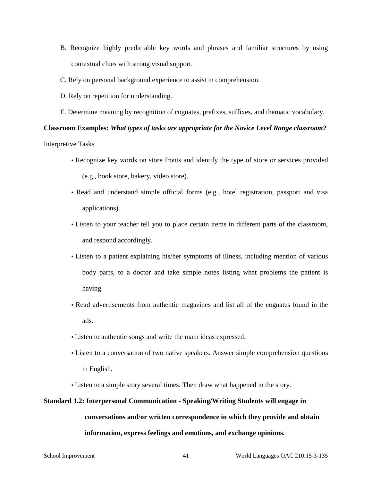- B. Recognize highly predictable key words and phrases and familiar structures by using contextual clues with strong visual support.
- C. Rely on personal background experience to assist in comprehension.
- D. Rely on repetition for understanding.
- E. Determine meaning by recognition of cognates, prefixes, suffixes, and thematic vocabulary.

# **Classroom Examples:** *What types of tasks are appropriate for the Novice Level Range classroom?*

Interpretive Tasks

- Recognize key words on store fronts and identify the type of store or services provided (e.g., book store, bakery, video store).
- Read and understand simple official forms (e.g., hotel registration, passport and visa applications).
- Listen to your teacher tell you to place certain items in different parts of the classroom, and respond accordingly.
- Listen to a patient explaining his/her symptoms of illness, including mention of various body parts, to a doctor and take simple notes listing what problems the patient is having.
- Read advertisements from authentic magazines and list all of the cognates found in the ads.
- Listen to authentic songs and write the main ideas expressed.
- Listen to a conversation of two native speakers. Answer simple comprehension questions in English.
- Listen to a simple story several times. Then draw what happened in the story.

# **Standard 1.2: Interpersonal Communication - Speaking/Writing Students will engage in conversations and/or written correspondence in which they provide and obtain information, express feelings and emotions, and exchange opinions.**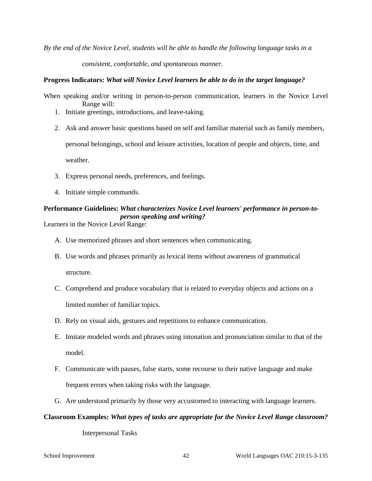*By the end of the Novice Level, students will be able to handle the following language tasks in a* 

*consistent, comfortable, and spontaneous manner.* 

#### **Progress Indicators:** *What will Novice Level learners be able to do in the target language?*

When speaking and/or writing in person-to-person communication, learners in the Novice Level Range will:

- 1. Initiate greetings, introductions, and leave-taking.
- 2. Ask and answer basic questions based on self and familiar material such as family members,

personal belongings, school and leisure activities, location of people and objects, time, and

weather.

- 3. Express personal needs, preferences, and feelings.
- 4. Initiate simple commands.

# **Performance Guidelines:** *What characterizes Novice Level learners' performance in person-toperson speaking and writing?*

Learners in the Novice Level Range:

- A. Use memorized phrases and short sentences when communicating.
- B. Use words and phrases primarily as lexical items without awareness of grammatical structure.
- C. Comprehend and produce vocabulary that is related to everyday objects and actions on a limited number of familiar topics.
- D. Rely on visual aids, gestures and repetitions to enhance communication.
- E. Imitate modeled words and phrases using intonation and pronunciation similar to that of the model.
- F. Communicate with pauses, false starts, some recourse to their native language and make frequent errors when taking risks with the language.
- G. Are understood primarily by those very accustomed to interacting with language learners.

#### **Classroom Examples:** *What types of tasks are appropriate for the Novice Level Range classroom?*

Interpersonal Tasks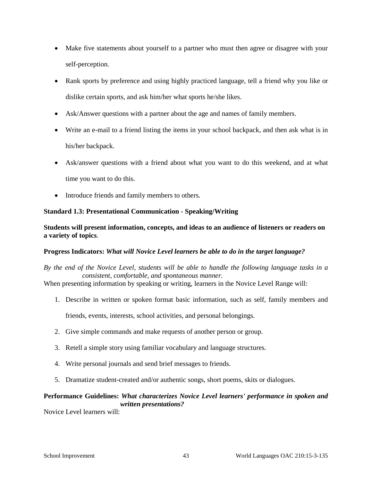- Make five statements about yourself to a partner who must then agree or disagree with your self-perception.
- Rank sports by preference and using highly practiced language, tell a friend why you like or dislike certain sports, and ask him/her what sports he/she likes.
- Ask/Answer questions with a partner about the age and names of family members.
- Write an e-mail to a friend listing the items in your school backpack, and then ask what is in his/her backpack.
- Ask/answer questions with a friend about what you want to do this weekend, and at what time you want to do this.
- Introduce friends and family members to others.

# **Standard 1.3: Presentational Communication - Speaking/Writing**

**Students will present information, concepts, and ideas to an audience of listeners or readers on a variety of topics**.

# **Progress Indicators:** *What will Novice Level learners be able to do in the target language?*

# *By the end of the Novice Level, students will be able to handle the following language tasks in a consistent, comfortable, and spontaneous manner.*

When presenting information by speaking or writing, learners in the Novice Level Range will:

1. Describe in written or spoken format basic information, such as self, family members and

friends, events, interests, school activities, and personal belongings.

- 2. Give simple commands and make requests of another person or group.
- 3. Retell a simple story using familiar vocabulary and language structures.
- 4. Write personal journals and send brief messages to friends.
- 5. Dramatize student-created and/or authentic songs, short poems, skits or dialogues.

# **Performance Guidelines:** *What characterizes Novice Level learners' performance in spoken and written presentations?*

Novice Level learners will: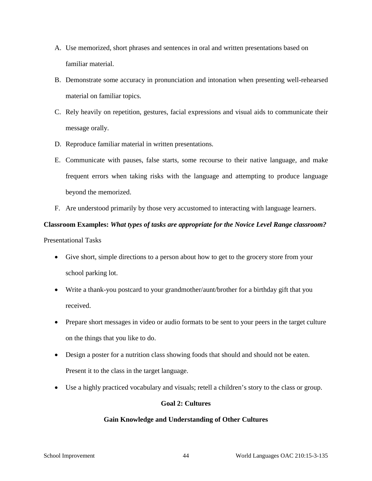- A. Use memorized, short phrases and sentences in oral and written presentations based on familiar material.
- B. Demonstrate some accuracy in pronunciation and intonation when presenting well-rehearsed material on familiar topics.
- C. Rely heavily on repetition, gestures, facial expressions and visual aids to communicate their message orally.
- D. Reproduce familiar material in written presentations.
- E. Communicate with pauses, false starts, some recourse to their native language, and make frequent errors when taking risks with the language and attempting to produce language beyond the memorized.
- F. Are understood primarily by those very accustomed to interacting with language learners.

# **Classroom Examples:** *What types of tasks are appropriate for the Novice Level Range classroom?*

Presentational Tasks

- Give short, simple directions to a person about how to get to the grocery store from your school parking lot.
- Write a thank-you postcard to your grandmother/aunt/brother for a birthday gift that you received.
- Prepare short messages in video or audio formats to be sent to your peers in the target culture on the things that you like to do.
- Design a poster for a nutrition class showing foods that should and should not be eaten. Present it to the class in the target language.
- Use a highly practiced vocabulary and visuals; retell a children's story to the class or group.

# **Goal 2: Cultures**

# **Gain Knowledge and Understanding of Other Cultures**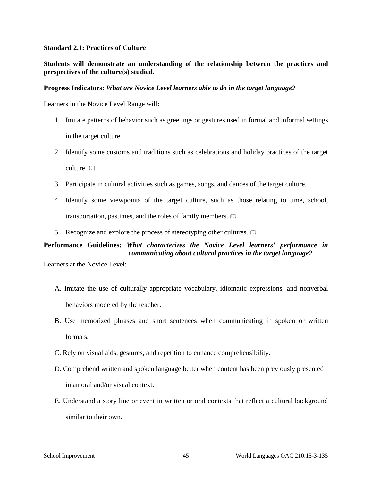#### **Standard 2.1: Practices of Culture**

# **Students will demonstrate an understanding of the relationship between the practices and perspectives of the culture(s) studied.**

#### **Progress Indicators:** *What are Novice Level learners able to do in the target language?*

Learners in the Novice Level Range will:

- 1. Imitate patterns of behavior such as greetings or gestures used in formal and informal settings in the target culture.
- 2. Identify some customs and traditions such as celebrations and holiday practices of the target culture.  $\Box$
- 3. Participate in cultural activities such as games, songs, and dances of the target culture.
- 4. Identify some viewpoints of the target culture, such as those relating to time, school, transportation, pastimes, and the roles of family members.
- 5. Recognize and explore the process of stereotyping other cultures.

# **Performance Guidelines:** *What characterizes the Novice Level learners' performance in communicating about cultural practices in the target language?*

Learners at the Novice Level:

- A. Imitate the use of culturally appropriate vocabulary, idiomatic expressions, and nonverbal behaviors modeled by the teacher.
- B. Use memorized phrases and short sentences when communicating in spoken or written formats.
- C. Rely on visual aids, gestures, and repetition to enhance comprehensibility.
- D. Comprehend written and spoken language better when content has been previously presented in an oral and/or visual context.
- E. Understand a story line or event in written or oral contexts that reflect a cultural background similar to their own.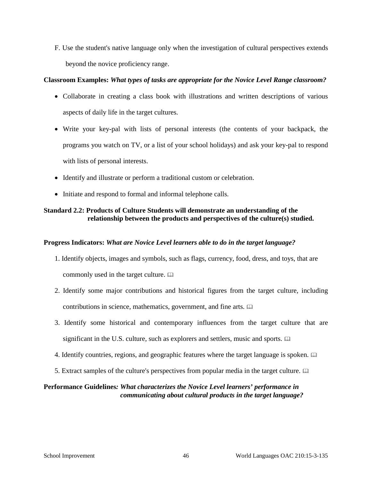F. Use the student's native language only when the investigation of cultural perspectives extends beyond the novice proficiency range.

# **Classroom Examples:** *What types of tasks are appropriate for the Novice Level Range classroom?*

- Collaborate in creating a class book with illustrations and written descriptions of various aspects of daily life in the target cultures.
- Write your key-pal with lists of personal interests (the contents of your backpack, the programs you watch on TV, or a list of your school holidays) and ask your key-pal to respond with lists of personal interests.
- Identify and illustrate or perform a traditional custom or celebration.
- Initiate and respond to formal and informal telephone calls.

# **Standard 2.2: Products of Culture Students will demonstrate an understanding of the relationship between the products and perspectives of the culture(s) studied.**

# **Progress Indicators:** *What are Novice Level learners able to do in the target language?*

- 1. Identify objects, images and symbols, such as flags, currency, food, dress, and toys, that are commonly used in the target culture.
- 2. Identify some major contributions and historical figures from the target culture, including contributions in science, mathematics, government, and fine arts.
- 3. Identify some historical and contemporary influences from the target culture that are significant in the U.S. culture, such as explorers and settlers, music and sports.  $\square$
- 4. Identify countries, regions, and geographic features where the target language is spoken.
- 5. Extract samples of the culture's perspectives from popular media in the target culture.

# **Performance Guidelines***: What characterizes the Novice Level learners' performance in communicating about cultural products in the target language?*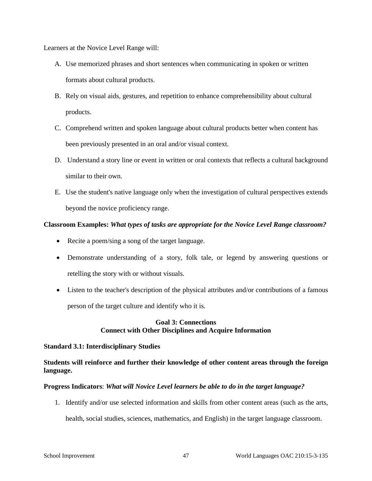Learners at the Novice Level Range will:

- A. Use memorized phrases and short sentences when communicating in spoken or written formats about cultural products.
- B. Rely on visual aids, gestures, and repetition to enhance comprehensibility about cultural products.
- C. Comprehend written and spoken language about cultural products better when content has been previously presented in an oral and/or visual context.
- D. Understand a story line or event in written or oral contexts that reflects a cultural background similar to their own.
- E. Use the student's native language only when the investigation of cultural perspectives extends beyond the novice proficiency range.

# **Classroom Examples:** *What types of tasks are appropriate for the Novice Level Range classroom?*

- Recite a poem/sing a song of the target language.
- Demonstrate understanding of a story, folk tale, or legend by answering questions or retelling the story with or without visuals.
- Listen to the teacher's description of the physical attributes and/or contributions of a famous person of the target culture and identify who it is.

# **Goal 3: Connections Connect with Other Disciplines and Acquire Information**

# **Standard 3.1: Interdisciplinary Studies**

# **Students will reinforce and further their knowledge of other content areas through the foreign language.**

# **Progress Indicators**: *What will Novice Level learners be able to do in the target language?*

1. Identify and/or use selected information and skills from other content areas (such as the arts, health, social studies, sciences, mathematics, and English) in the target language classroom.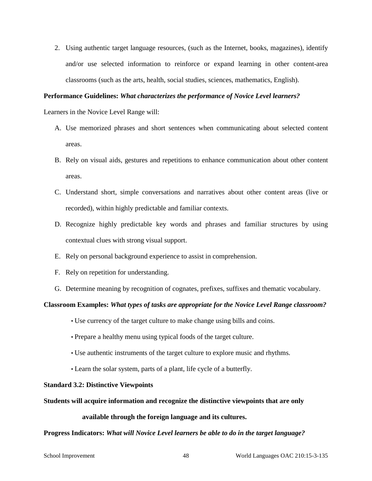2. Using authentic target language resources, (such as the Internet, books, magazines), identify and/or use selected information to reinforce or expand learning in other content-area classrooms (such as the arts, health, social studies, sciences, mathematics, English).

#### **Performance Guidelines:** *What characterizes the performance of Novice Level learners?*

Learners in the Novice Level Range will:

- A. Use memorized phrases and short sentences when communicating about selected content areas.
- B. Rely on visual aids, gestures and repetitions to enhance communication about other content areas.
- C. Understand short, simple conversations and narratives about other content areas (live or recorded), within highly predictable and familiar contexts.
- D. Recognize highly predictable key words and phrases and familiar structures by using contextual clues with strong visual support.
- E. Rely on personal background experience to assist in comprehension.
- F. Rely on repetition for understanding.
- G. Determine meaning by recognition of cognates, prefixes, suffixes and thematic vocabulary.

# **Classroom Examples:** *What types of tasks are appropriate for the Novice Level Range classroom?*

- Use currency of the target culture to make change using bills and coins.
- Prepare a healthy menu using typical foods of the target culture.
- Use authentic instruments of the target culture to explore music and rhythms.
- Learn the solar system, parts of a plant, life cycle of a butterfly.

#### **Standard 3.2: Distinctive Viewpoints**

#### **Students will acquire information and recognize the distinctive viewpoints that are only**

#### **available through the foreign language and its cultures.**

#### **Progress Indicators:** *What will Novice Level learners be able to do in the target language?*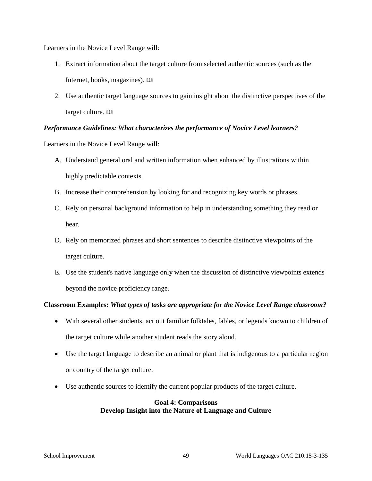Learners in the Novice Level Range will:

- 1. Extract information about the target culture from selected authentic sources (such as the Internet, books, magazines).
- 2. Use authentic target language sources to gain insight about the distinctive perspectives of the target culture.

# *Performance Guidelines: What characterizes the performance of Novice Level learners?*

Learners in the Novice Level Range will:

- A. Understand general oral and written information when enhanced by illustrations within highly predictable contexts.
- B. Increase their comprehension by looking for and recognizing key words or phrases.
- C. Rely on personal background information to help in understanding something they read or hear.
- D. Rely on memorized phrases and short sentences to describe distinctive viewpoints of the target culture.
- E. Use the student's native language only when the discussion of distinctive viewpoints extends beyond the novice proficiency range.

# **Classroom Examples:** *What types of tasks are appropriate for the Novice Level Range classroom?*

- With several other students, act out familiar folktales, fables, or legends known to children of the target culture while another student reads the story aloud.
- Use the target language to describe an animal or plant that is indigenous to a particular region or country of the target culture.
- Use authentic sources to identify the current popular products of the target culture.

#### **Goal 4: Comparisons Develop Insight into the Nature of Language and Culture**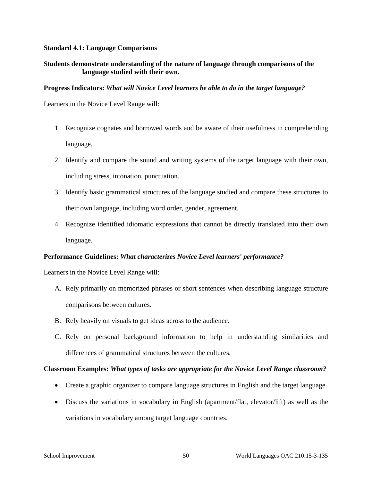#### **Standard 4.1: Language Comparisons**

# **Students demonstrate understanding of the nature of language through comparisons of the language studied with their own.**

#### **Progress Indicators:** *What will Novice Level learners be able to do in the target language?*

Learners in the Novice Level Range will:

- 1. Recognize cognates and borrowed words and be aware of their usefulness in comprehending language.
- 2. Identify and compare the sound and writing systems of the target language with their own, including stress, intonation, punctuation.
- 3. Identify basic grammatical structures of the language studied and compare these structures to their own language, including word order, gender, agreement.
- 4. Recognize identified idiomatic expressions that cannot be directly translated into their own language.

# **Performance Guidelines:** *What characterizes Novice Level learners' performance?*

Learners in the Novice Level Range will:

- A. Rely primarily on memorized phrases or short sentences when describing language structure comparisons between cultures.
- B. Rely heavily on visuals to get ideas across to the audience.
- C. Rely on personal background information to help in understanding similarities and differences of grammatical structures between the cultures.

# **Classroom Examples:** *What types of tasks are appropriate for the Novice Level Range classroom?*

- Create a graphic organizer to compare language structures in English and the target language.
- Discuss the variations in vocabulary in English (apartment/flat, elevator/lift) as well as the variations in vocabulary among target language countries.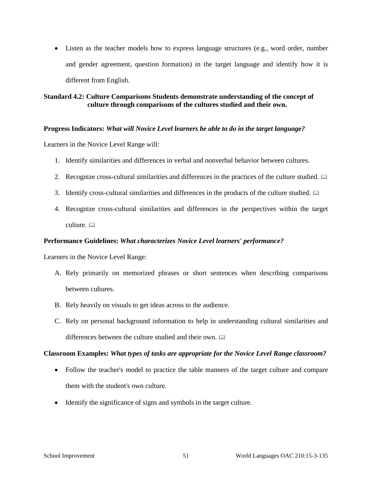• Listen as the teacher models how to express language structures (e.g., word order, number and gender agreement, question formation) in the target language and identify how it is different from English.

# **Standard 4.2: Culture Comparisons Students demonstrate understanding of the concept of culture through comparisons of the cultures studied and their own.**

## **Progress Indicators:** *What will Novice Level learners be able to do in the target language?*

Learners in the Novice Level Range will:

- 1. Identify similarities and differences in verbal and nonverbal behavior between cultures.
- 2. Recognize cross-cultural similarities and differences in the practices of the culture studied.
- 3. Identify cross-cultural similarities and differences in the products of the culture studied.
- 4. Recognize cross-cultural similarities and differences in the perspectives within the target culture.

#### **Performance Guidelines:** *What characterizes Novice Level learners' performance?*

Learners in the Novice Level Range:

- A. Rely primarily on memorized phrases or short sentences when describing comparisons between cultures.
- B. Rely heavily on visuals to get ideas across to the audience.
- C. Rely on personal background information to help in understanding cultural similarities and differences between the culture studied and their own.

#### **Classroom Examples:** *What types of tasks are appropriate for the Novice Level Range classroom?*

- Follow the teacher's model to practice the table manners of the target culture and compare them with the student's own culture.
- Identify the significance of signs and symbols in the target culture.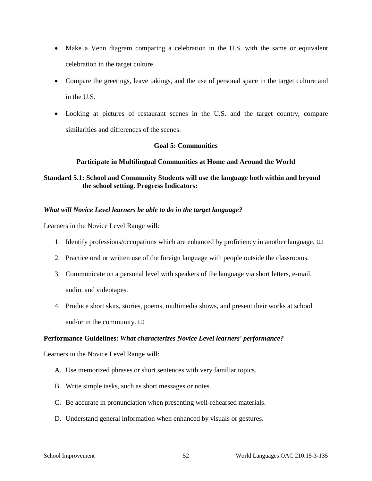- Make a Venn diagram comparing a celebration in the U.S. with the same or equivalent celebration in the target culture.
- Compare the greetings, leave takings, and the use of personal space in the target culture and in the U.S.
- Looking at pictures of restaurant scenes in the U.S. and the target country, compare similarities and differences of the scenes.

# **Goal 5: Communities**

# **Participate in Multilingual Communities at Home and Around the World**

# **Standard 5.1: School and Community Students will use the language both within and beyond the school setting. Progress Indicators:**

# *What will Novice Level learners be able to do in the target language?*

Learners in the Novice Level Range will:

- 1. Identify professions/occupations which are enhanced by proficiency in another language.  $\Box$
- 2. Practice oral or written use of the foreign language with people outside the classrooms.
- 3. Communicate on a personal level with speakers of the language via short letters, e-mail, audio, and videotapes.
- 4. Produce short skits, stories, poems, multimedia shows, and present their works at school and/or in the community.  $\Box$

# **Performance Guidelines:** *What characterizes Novice Level learners' performance?*

Learners in the Novice Level Range will:

- A. Use memorized phrases or short sentences with very familiar topics.
- B. Write simple tasks, such as short messages or notes.
- C. Be accurate in pronunciation when presenting well-rehearsed materials.
- D. Understand general information when enhanced by visuals or gestures.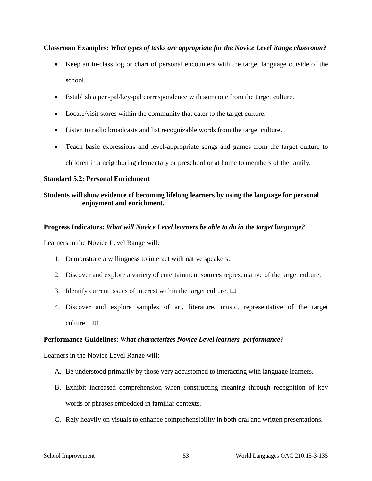# **Classroom Examples:** *What types of tasks are appropriate for the Novice Level Range classroom?*

- Keep an in-class log or chart of personal encounters with the target language outside of the school.
- Establish a pen-pal/key-pal correspondence with someone from the target culture.
- Locate/visit stores within the community that cater to the target culture.
- Listen to radio broadcasts and list recognizable words from the target culture.
- Teach basic expressions and level-appropriate songs and games from the target culture to children in a neighboring elementary or preschool or at home to members of the family.

## **Standard 5.2: Personal Enrichment**

# **Students will show evidence of becoming lifelong learners by using the language for personal enjoyment and enrichment.**

## **Progress Indicators:** *What will Novice Level learners be able to do in the target language?*

Learners in the Novice Level Range will:

- 1. Demonstrate a willingness to interact with native speakers.
- 2. Discover and explore a variety of entertainment sources representative of the target culture.
- 3. Identify current issues of interest within the target culture.
- 4. Discover and explore samples of art, literature, music, representative of the target culture.

#### **Performance Guidelines:** *What characterizes Novice Level learners' performance?*

Learners in the Novice Level Range will:

- A. Be understood primarily by those very accustomed to interacting with language learners.
- B. Exhibit increased comprehension when constructing meaning through recognition of key words or phrases embedded in familiar contexts.
- C. Rely heavily on visuals to enhance comprehensibility in both oral and written presentations.